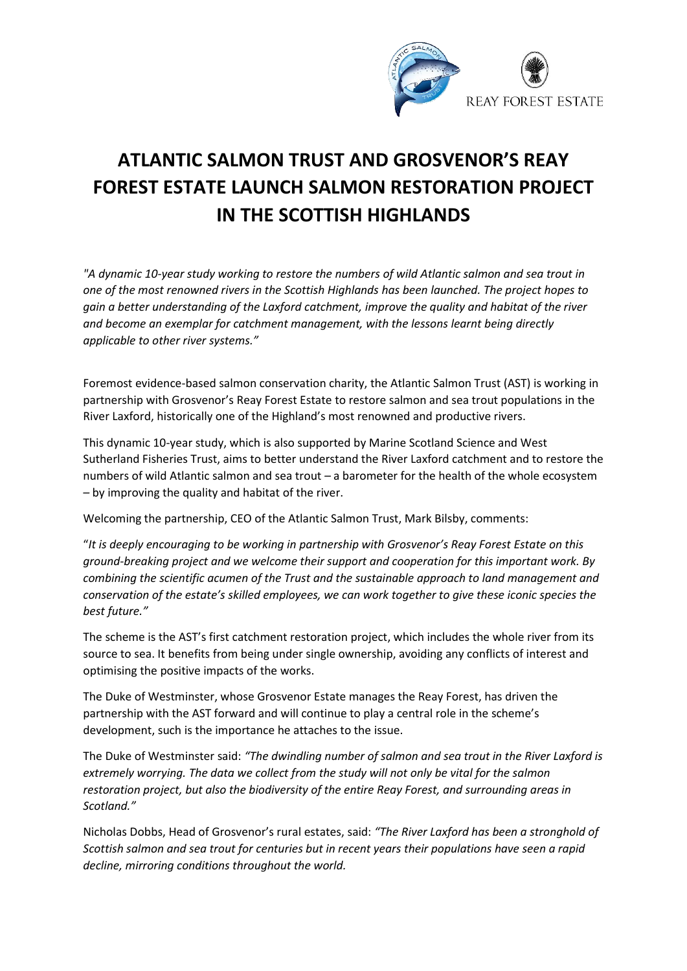

## **ATLANTIC SALMON TRUST AND GROSVENOR'S REAY FOREST ESTATE LAUNCH SALMON RESTORATION PROJECT IN THE SCOTTISH HIGHLANDS**

*"A dynamic 10-year study working to restore the numbers of wild Atlantic salmon and sea trout in one of the most renowned rivers in the Scottish Highlands has been launched. The project hopes to gain a better understanding of the Laxford catchment, improve the quality and habitat of the river and become an exemplar for catchment management, with the lessons learnt being directly applicable to other river systems."*

Foremost evidence-based salmon conservation charity, the Atlantic Salmon Trust (AST) is working in partnership with Grosvenor's Reay Forest Estate to restore salmon and sea trout populations in the River Laxford, historically one of the Highland's most renowned and productive rivers.

This dynamic 10-year study, which is also supported by Marine Scotland Science and West Sutherland Fisheries Trust, aims to better understand the River Laxford catchment and to restore the numbers of wild Atlantic salmon and sea trout *–* a barometer for the health of the whole ecosystem *–* by improving the quality and habitat of the river.

Welcoming the partnership, CEO of the Atlantic Salmon Trust, Mark Bilsby, comments:

"*It is deeply encouraging to be working in partnership with Grosvenor's Reay Forest Estate on this ground-breaking project and we welcome their support and cooperation for this important work. By combining the scientific acumen of the Trust and the sustainable approach to land management and conservation of the estate's skilled employees, we can work together to give these iconic species the best future."* 

The scheme is the AST's first catchment restoration project, which includes the whole river from its source to sea. It benefits from being under single ownership, avoiding any conflicts of interest and optimising the positive impacts of the works.

The Duke of Westminster, whose Grosvenor Estate manages the Reay Forest, has driven the partnership with the AST forward and will continue to play a central role in the scheme's development, such is the importance he attaches to the issue.

The Duke of Westminster said: *"The dwindling number of salmon and sea trout in the River Laxford is extremely worrying. The data we collect from the study will not only be vital for the salmon restoration project, but also the biodiversity of the entire Reay Forest, and surrounding areas in Scotland."*

Nicholas Dobbs, Head of Grosvenor's rural estates, said: *"The River Laxford has been a stronghold of Scottish salmon and sea trout for centuries but in recent years their populations have seen a rapid decline, mirroring conditions throughout the world.*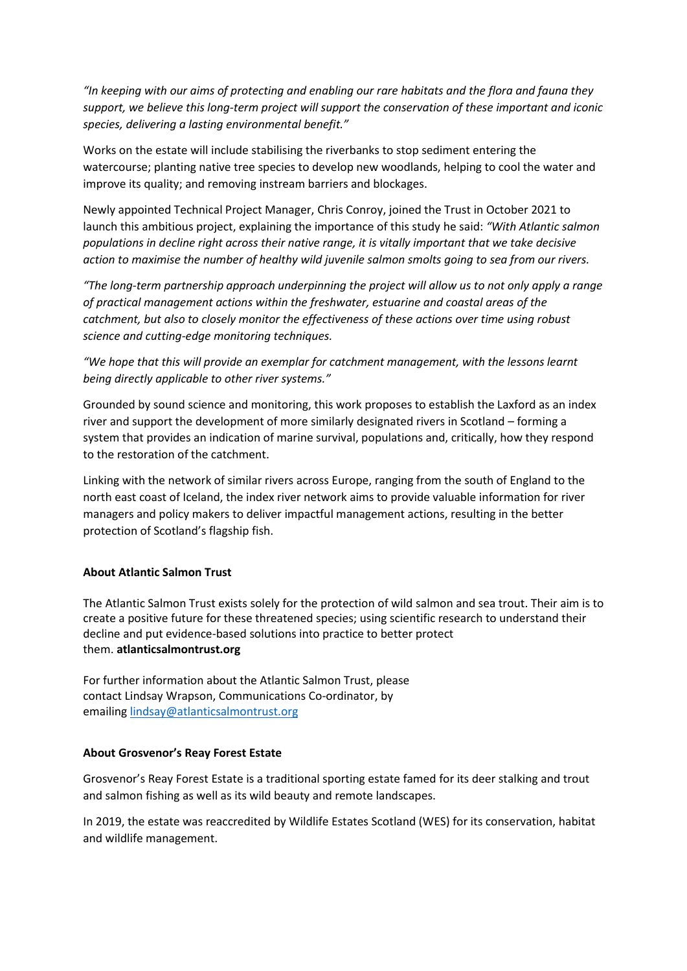*"In keeping with our aims of protecting and enabling our rare habitats and the flora and fauna they support, we believe this long-term project will support the conservation of these important and iconic species, delivering a lasting environmental benefit."*

Works on the estate will include stabilising the riverbanks to stop sediment entering the watercourse; planting native tree species to develop new woodlands, helping to cool the water and improve its quality; and removing instream barriers and blockages.

Newly appointed Technical Project Manager, Chris Conroy, joined the Trust in October 2021 to launch this ambitious project, explaining the importance of this study he said: *"With Atlantic salmon populations in decline right across their native range, it is vitally important that we take decisive action to maximise the number of healthy wild juvenile salmon smolts going to sea from our rivers.* 

*"The long-term partnership approach underpinning the project will allow us to not only apply a range of practical management actions within the freshwater, estuarine and coastal areas of the catchment, but also to closely monitor the effectiveness of these actions over time using robust science and cutting-edge monitoring techniques.* 

*"We hope that this will provide an exemplar for catchment management, with the lessons learnt being directly applicable to other river systems."*

Grounded by sound science and monitoring, this work proposes to establish the Laxford as an index river and support the development of more similarly designated rivers in Scotland – forming a system that provides an indication of marine survival, populations and, critically, how they respond to the restoration of the catchment.

Linking with the network of similar rivers across Europe, ranging from the south of England to the north east coast of Iceland, the index river network aims to provide valuable information for river managers and policy makers to deliver impactful management actions, resulting in the better protection of Scotland's flagship fish.

## **About Atlantic Salmon Trust**

The Atlantic Salmon Trust exists solely for the protection of wild salmon and sea trout. Their aim is to create a positive future for these threatened species; using scientific research to understand their decline and put evidence-based solutions into practice to better protect them. **atlanticsalmontrust.org**

For further information about the Atlantic Salmon Trust, please contact Lindsay Wrapson, Communications Co-ordinator, by emailing [lindsay@atlanticsalmontrust.org](about:blank)

## **About Grosvenor's Reay Forest Estate**

Grosvenor's Reay Forest Estate is a traditional sporting estate famed for its deer stalking and trout and salmon fishing as well as its wild beauty and remote landscapes.

In 2019, the estate was reaccredited by Wildlife Estates Scotland (WES) for its conservation, habitat and wildlife management.